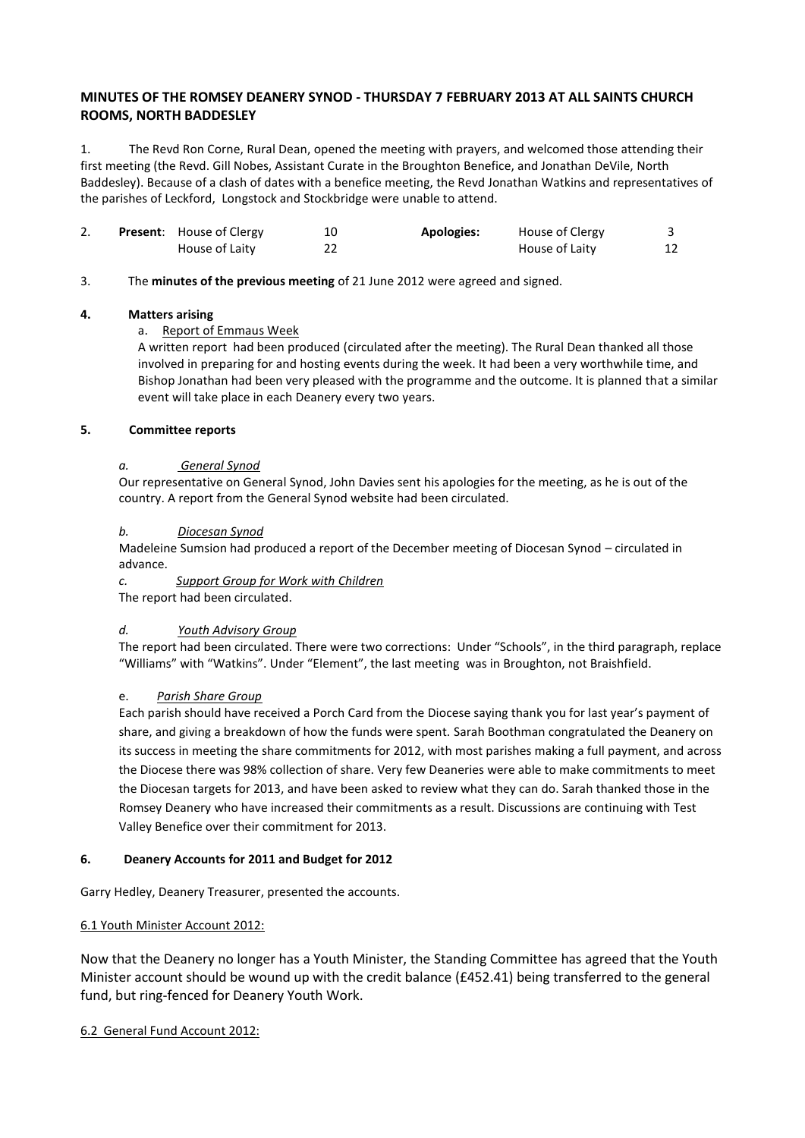# **MINUTES OF THE ROMSEY DEANERY SYNOD - THURSDAY 7 FEBRUARY 2013 AT ALL SAINTS CHURCH ROOMS, NORTH BADDESLEY**

1. The Revd Ron Corne, Rural Dean, opened the meeting with prayers, and welcomed those attending their first meeting (the Revd. Gill Nobes, Assistant Curate in the Broughton Benefice, and Jonathan DeVile, North Baddesley). Because of a clash of dates with a benefice meeting, the Revd Jonathan Watkins and representatives of the parishes of Leckford, Longstock and Stockbridge were unable to attend.

|  | <b>Present:</b> House of Clergy | <b>Apologies:</b> | House of Clergy |  |
|--|---------------------------------|-------------------|-----------------|--|
|  | House of Laity                  |                   | House of Laity  |  |

### 3. The **minutes of the previous meeting** of 21 June 2012 were agreed and signed.

### **4. Matters arising**

### a. Report of Emmaus Week

A written report had been produced (circulated after the meeting). The Rural Dean thanked all those involved in preparing for and hosting events during the week. It had been a very worthwhile time, and Bishop Jonathan had been very pleased with the programme and the outcome. It is planned that a similar event will take place in each Deanery every two years.

### **5. Committee reports**

### *a. General Synod*

Our representative on General Synod, John Davies sent his apologies for the meeting, as he is out of the country. A report from the General Synod website had been circulated.

### *b. Diocesan Synod*

Madeleine Sumsion had produced a report of the December meeting of Diocesan Synod – circulated in advance.

*c. Support Group for Work with Children*

The report had been circulated.

## *d. Youth Advisory Group*

The report had been circulated. There were two corrections: Under "Schools", in the third paragraph, replace "Williams" with "Watkins". Under "Element", the last meeting was in Broughton, not Braishfield.

## e. *Parish Share Group*

Each parish should have received a Porch Card from the Diocese saying thank you for last year's payment of share, and giving a breakdown of how the funds were spent. Sarah Boothman congratulated the Deanery on its success in meeting the share commitments for 2012, with most parishes making a full payment, and across the Diocese there was 98% collection of share. Very few Deaneries were able to make commitments to meet the Diocesan targets for 2013, and have been asked to review what they can do. Sarah thanked those in the Romsey Deanery who have increased their commitments as a result. Discussions are continuing with Test Valley Benefice over their commitment for 2013.

#### **6. Deanery Accounts for 2011 and Budget for 2012**

Garry Hedley, Deanery Treasurer, presented the accounts.

## 6.1 Youth Minister Account 2012:

Now that the Deanery no longer has a Youth Minister, the Standing Committee has agreed that the Youth Minister account should be wound up with the credit balance (£452.41) being transferred to the general fund, but ring-fenced for Deanery Youth Work.

6.2 General Fund Account 2012: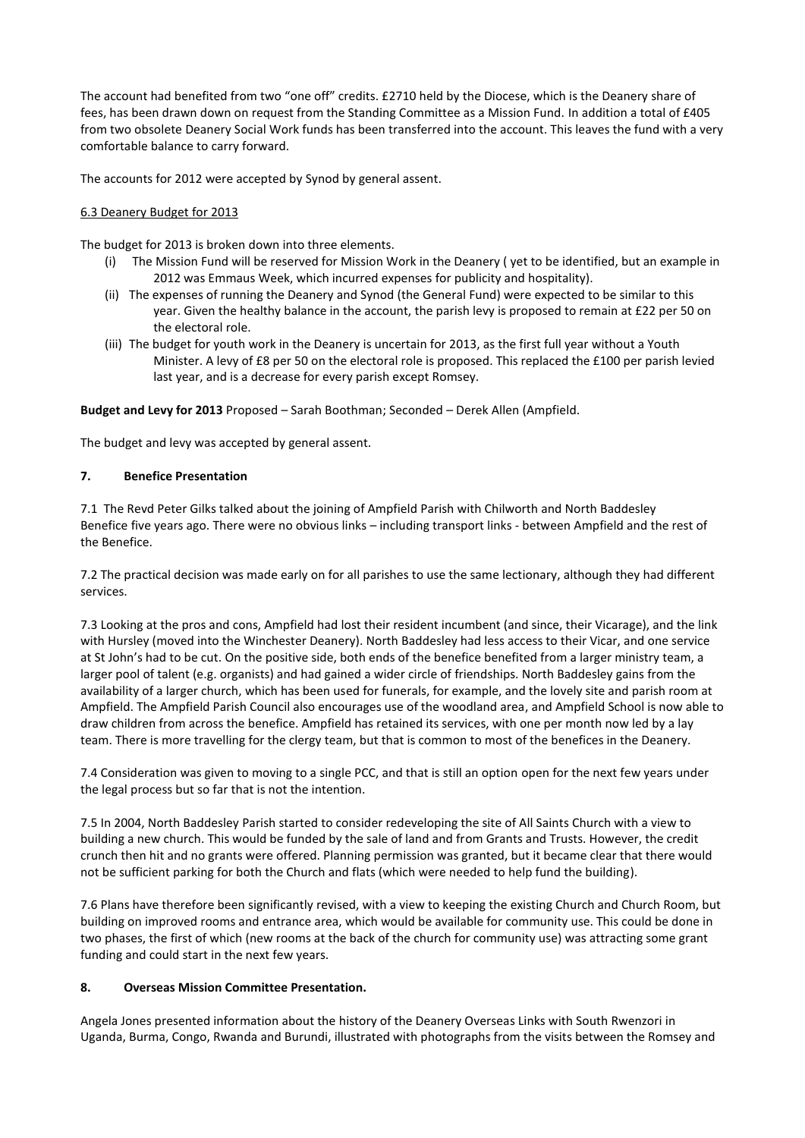The account had benefited from two "one off" credits. £2710 held by the Diocese, which is the Deanery share of fees, has been drawn down on request from the Standing Committee as a Mission Fund. In addition a total of £405 from two obsolete Deanery Social Work funds has been transferred into the account. This leaves the fund with a very comfortable balance to carry forward.

The accounts for 2012 were accepted by Synod by general assent.

### 6.3 Deanery Budget for 2013

The budget for 2013 is broken down into three elements.

- (i) The Mission Fund will be reserved for Mission Work in the Deanery ( yet to be identified, but an example in 2012 was Emmaus Week, which incurred expenses for publicity and hospitality).
- (ii) The expenses of running the Deanery and Synod (the General Fund) were expected to be similar to this year. Given the healthy balance in the account, the parish levy is proposed to remain at £22 per 50 on the electoral role.
- (iii) The budget for youth work in the Deanery is uncertain for 2013, as the first full year without a Youth Minister. A levy of £8 per 50 on the electoral role is proposed. This replaced the £100 per parish levied last year, and is a decrease for every parish except Romsey.

**Budget and Levy for 2013** Proposed – Sarah Boothman; Seconded – Derek Allen (Ampfield.

The budget and levy was accepted by general assent.

### **7. Benefice Presentation**

7.1 The Revd Peter Gilks talked about the joining of Ampfield Parish with Chilworth and North Baddesley Benefice five years ago. There were no obvious links – including transport links - between Ampfield and the rest of the Benefice.

7.2 The practical decision was made early on for all parishes to use the same lectionary, although they had different services.

7.3 Looking at the pros and cons, Ampfield had lost their resident incumbent (and since, their Vicarage), and the link with Hursley (moved into the Winchester Deanery). North Baddesley had less access to their Vicar, and one service at St John's had to be cut. On the positive side, both ends of the benefice benefited from a larger ministry team, a larger pool of talent (e.g. organists) and had gained a wider circle of friendships. North Baddesley gains from the availability of a larger church, which has been used for funerals, for example, and the lovely site and parish room at Ampfield. The Ampfield Parish Council also encourages use of the woodland area, and Ampfield School is now able to draw children from across the benefice. Ampfield has retained its services, with one per month now led by a lay team. There is more travelling for the clergy team, but that is common to most of the benefices in the Deanery.

7.4 Consideration was given to moving to a single PCC, and that is still an option open for the next few years under the legal process but so far that is not the intention.

7.5 In 2004, North Baddesley Parish started to consider redeveloping the site of All Saints Church with a view to building a new church. This would be funded by the sale of land and from Grants and Trusts. However, the credit crunch then hit and no grants were offered. Planning permission was granted, but it became clear that there would not be sufficient parking for both the Church and flats (which were needed to help fund the building).

7.6 Plans have therefore been significantly revised, with a view to keeping the existing Church and Church Room, but building on improved rooms and entrance area, which would be available for community use. This could be done in two phases, the first of which (new rooms at the back of the church for community use) was attracting some grant funding and could start in the next few years.

## **8. Overseas Mission Committee Presentation.**

Angela Jones presented information about the history of the Deanery Overseas Links with South Rwenzori in Uganda, Burma, Congo, Rwanda and Burundi, illustrated with photographs from the visits between the Romsey and